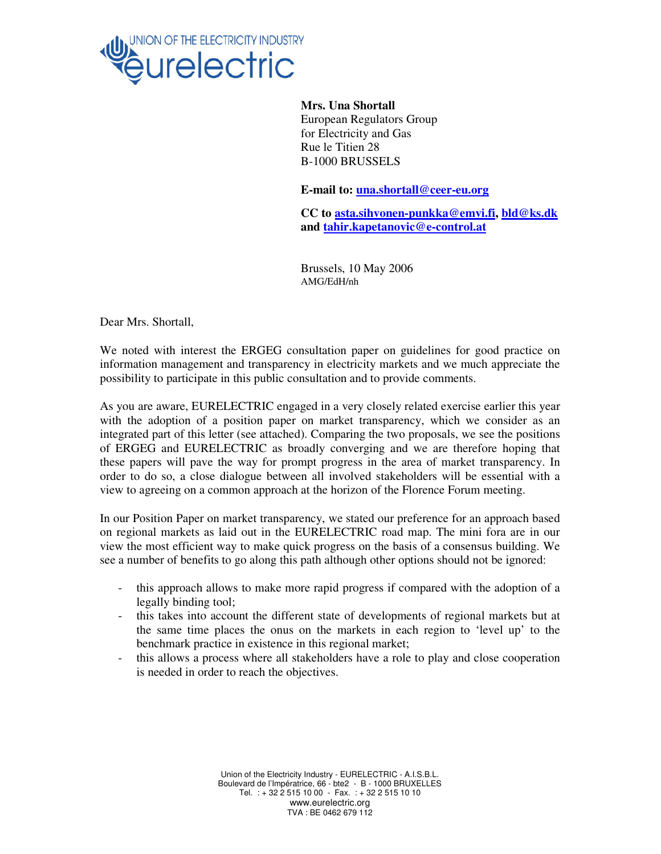

**Mrs. Una Shortall**  European Regulators Group for Electricity and Gas Rue le Titien 28 B-1000 BRUSSELS

**E-mail to: una.shortall@ceer-eu.org**

**CC to asta.sihvonen-punkka@emvi.fi, bld@ks.dk and tahir.kapetanovic@e-control.at** 

Brussels, 10 May 2006 AMG/EdH/nh

Dear Mrs. Shortall,

We noted with interest the ERGEG consultation paper on guidelines for good practice on information management and transparency in electricity markets and we much appreciate the possibility to participate in this public consultation and to provide comments.

As you are aware, EURELECTRIC engaged in a very closely related exercise earlier this year with the adoption of a position paper on market transparency, which we consider as an integrated part of this letter (see attached). Comparing the two proposals, we see the positions of ERGEG and EURELECTRIC as broadly converging and we are therefore hoping that these papers will pave the way for prompt progress in the area of market transparency. In order to do so, a close dialogue between all involved stakeholders will be essential with a view to agreeing on a common approach at the horizon of the Florence Forum meeting.

In our Position Paper on market transparency, we stated our preference for an approach based on regional markets as laid out in the EURELECTRIC road map. The mini fora are in our view the most efficient way to make quick progress on the basis of a consensus building. We see a number of benefits to go along this path although other options should not be ignored:

- this approach allows to make more rapid progress if compared with the adoption of a legally binding tool;
- this takes into account the different state of developments of regional markets but at the same time places the onus on the markets in each region to 'level up' to the benchmark practice in existence in this regional market;
- this allows a process where all stakeholders have a role to play and close cooperation is needed in order to reach the objectives.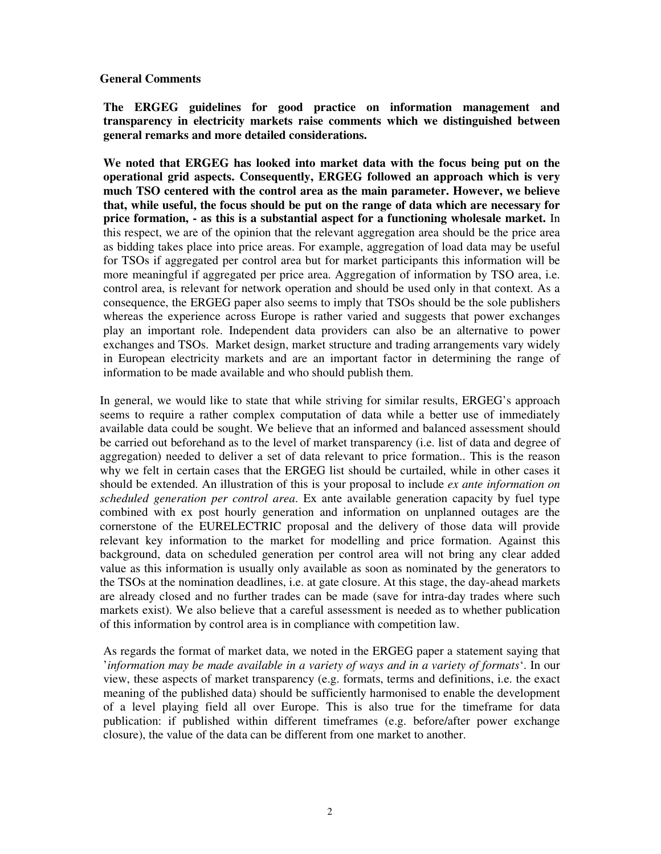#### **General Comments**

**The ERGEG guidelines for good practice on information management and transparency in electricity markets raise comments which we distinguished between general remarks and more detailed considerations.** 

**We noted that ERGEG has looked into market data with the focus being put on the operational grid aspects. Consequently, ERGEG followed an approach which is very much TSO centered with the control area as the main parameter. However, we believe that, while useful, the focus should be put on the range of data which are necessary for price formation, - as this is a substantial aspect for a functioning wholesale market.** In this respect, we are of the opinion that the relevant aggregation area should be the price area as bidding takes place into price areas. For example, aggregation of load data may be useful for TSOs if aggregated per control area but for market participants this information will be more meaningful if aggregated per price area. Aggregation of information by TSO area, i.e. control area, is relevant for network operation and should be used only in that context. As a consequence, the ERGEG paper also seems to imply that TSOs should be the sole publishers whereas the experience across Europe is rather varied and suggests that power exchanges play an important role. Independent data providers can also be an alternative to power exchanges and TSOs. Market design, market structure and trading arrangements vary widely in European electricity markets and are an important factor in determining the range of information to be made available and who should publish them.

In general, we would like to state that while striving for similar results, ERGEG's approach seems to require a rather complex computation of data while a better use of immediately available data could be sought. We believe that an informed and balanced assessment should be carried out beforehand as to the level of market transparency (i.e. list of data and degree of aggregation) needed to deliver a set of data relevant to price formation.. This is the reason why we felt in certain cases that the ERGEG list should be curtailed, while in other cases it should be extended. An illustration of this is your proposal to include *ex ante information on scheduled generation per control area*. Ex ante available generation capacity by fuel type combined with ex post hourly generation and information on unplanned outages are the cornerstone of the EURELECTRIC proposal and the delivery of those data will provide relevant key information to the market for modelling and price formation. Against this background, data on scheduled generation per control area will not bring any clear added value as this information is usually only available as soon as nominated by the generators to the TSOs at the nomination deadlines, i.e. at gate closure. At this stage, the day-ahead markets are already closed and no further trades can be made (save for intra-day trades where such markets exist). We also believe that a careful assessment is needed as to whether publication of this information by control area is in compliance with competition law.

As regards the format of market data, we noted in the ERGEG paper a statement saying that '*information may be made available in a variety of ways and in a variety of formats*'. In our view, these aspects of market transparency (e.g. formats, terms and definitions, i.e. the exact meaning of the published data) should be sufficiently harmonised to enable the development of a level playing field all over Europe. This is also true for the timeframe for data publication: if published within different timeframes (e.g. before/after power exchange closure), the value of the data can be different from one market to another.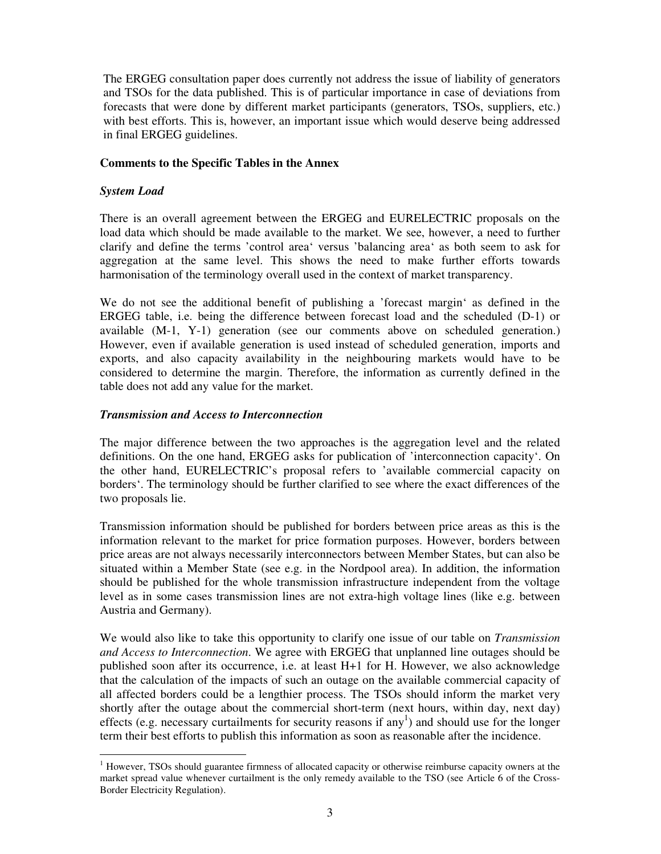The ERGEG consultation paper does currently not address the issue of liability of generators and TSOs for the data published. This is of particular importance in case of deviations from forecasts that were done by different market participants (generators, TSOs, suppliers, etc.) with best efforts. This is, however, an important issue which would deserve being addressed in final ERGEG guidelines.

#### **Comments to the Specific Tables in the Annex**

## *System Load*

There is an overall agreement between the ERGEG and EURELECTRIC proposals on the load data which should be made available to the market. We see, however, a need to further clarify and define the terms 'control area' versus 'balancing area' as both seem to ask for aggregation at the same level. This shows the need to make further efforts towards harmonisation of the terminology overall used in the context of market transparency.

We do not see the additional benefit of publishing a 'forecast margin' as defined in the ERGEG table, i.e. being the difference between forecast load and the scheduled (D-1) or available (M-1, Y-1) generation (see our comments above on scheduled generation.) However, even if available generation is used instead of scheduled generation, imports and exports, and also capacity availability in the neighbouring markets would have to be considered to determine the margin. Therefore, the information as currently defined in the table does not add any value for the market.

## *Transmission and Access to Interconnection*

The major difference between the two approaches is the aggregation level and the related definitions. On the one hand, ERGEG asks for publication of 'interconnection capacity'. On the other hand, EURELECTRIC's proposal refers to 'available commercial capacity on borders'. The terminology should be further clarified to see where the exact differences of the two proposals lie.

Transmission information should be published for borders between price areas as this is the information relevant to the market for price formation purposes. However, borders between price areas are not always necessarily interconnectors between Member States, but can also be situated within a Member State (see e.g. in the Nordpool area). In addition, the information should be published for the whole transmission infrastructure independent from the voltage level as in some cases transmission lines are not extra-high voltage lines (like e.g. between Austria and Germany).

We would also like to take this opportunity to clarify one issue of our table on *Transmission and Access to Interconnection*. We agree with ERGEG that unplanned line outages should be published soon after its occurrence, i.e. at least H+1 for H. However, we also acknowledge that the calculation of the impacts of such an outage on the available commercial capacity of all affected borders could be a lengthier process. The TSOs should inform the market very shortly after the outage about the commercial short-term (next hours, within day, next day) effects (e.g. necessary curtailments for security reasons if any<sup>1</sup>) and should use for the longer term their best efforts to publish this information as soon as reasonable after the incidence.

<sup>&</sup>lt;sup>1</sup> However, TSOs should guarantee firmness of allocated capacity or otherwise reimburse capacity owners at the market spread value whenever curtailment is the only remedy available to the TSO (see Article 6 of the Cross-Border Electricity Regulation).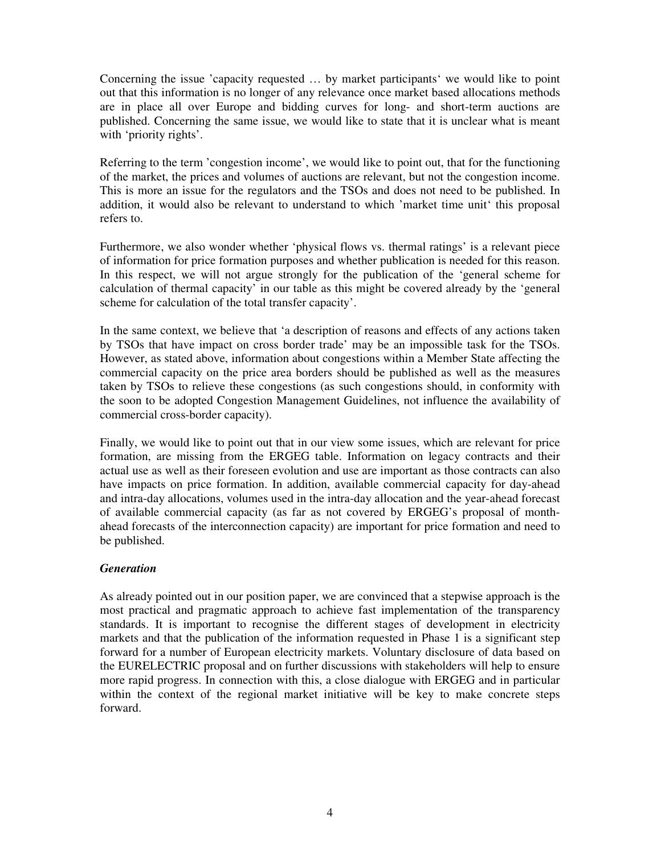Concerning the issue 'capacity requested … by market participants' we would like to point out that this information is no longer of any relevance once market based allocations methods are in place all over Europe and bidding curves for long- and short-term auctions are published. Concerning the same issue, we would like to state that it is unclear what is meant with 'priority rights'.

Referring to the term 'congestion income', we would like to point out, that for the functioning of the market, the prices and volumes of auctions are relevant, but not the congestion income. This is more an issue for the regulators and the TSOs and does not need to be published. In addition, it would also be relevant to understand to which 'market time unit' this proposal refers to.

Furthermore, we also wonder whether 'physical flows vs. thermal ratings' is a relevant piece of information for price formation purposes and whether publication is needed for this reason. In this respect, we will not argue strongly for the publication of the 'general scheme for calculation of thermal capacity' in our table as this might be covered already by the 'general scheme for calculation of the total transfer capacity'.

In the same context, we believe that 'a description of reasons and effects of any actions taken by TSOs that have impact on cross border trade' may be an impossible task for the TSOs. However, as stated above, information about congestions within a Member State affecting the commercial capacity on the price area borders should be published as well as the measures taken by TSOs to relieve these congestions (as such congestions should, in conformity with the soon to be adopted Congestion Management Guidelines, not influence the availability of commercial cross-border capacity).

Finally, we would like to point out that in our view some issues, which are relevant for price formation, are missing from the ERGEG table. Information on legacy contracts and their actual use as well as their foreseen evolution and use are important as those contracts can also have impacts on price formation. In addition, available commercial capacity for day-ahead and intra-day allocations, volumes used in the intra-day allocation and the year-ahead forecast of available commercial capacity (as far as not covered by ERGEG's proposal of monthahead forecasts of the interconnection capacity) are important for price formation and need to be published.

# *Generation*

As already pointed out in our position paper, we are convinced that a stepwise approach is the most practical and pragmatic approach to achieve fast implementation of the transparency standards. It is important to recognise the different stages of development in electricity markets and that the publication of the information requested in Phase  $1$  is a significant step forward for a number of European electricity markets. Voluntary disclosure of data based on the EURELECTRIC proposal and on further discussions with stakeholders will help to ensure more rapid progress. In connection with this, a close dialogue with ERGEG and in particular within the context of the regional market initiative will be key to make concrete steps forward.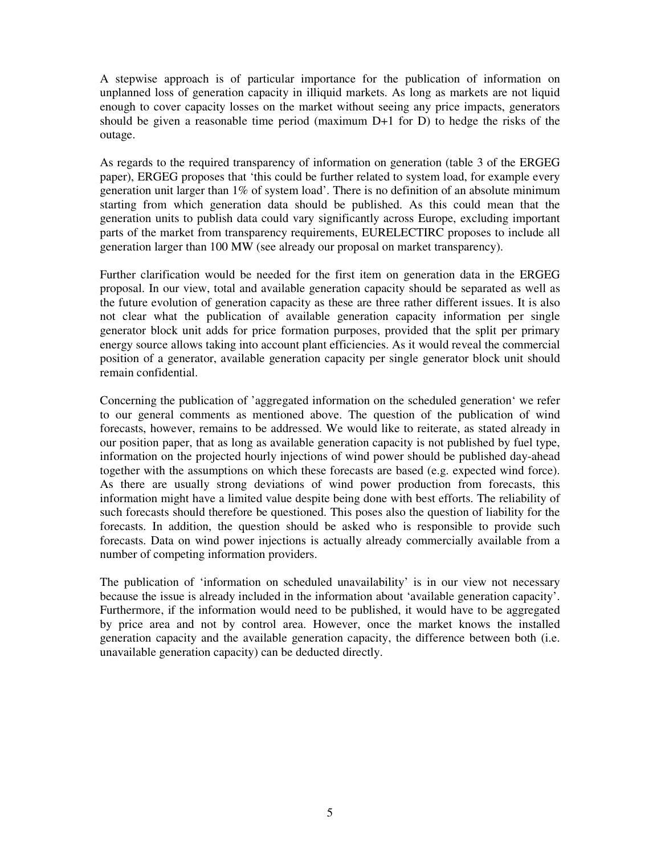A stepwise approach is of particular importance for the publication of information on unplanned loss of generation capacity in illiquid markets. As long as markets are not liquid enough to cover capacity losses on the market without seeing any price impacts, generators should be given a reasonable time period (maximum D+1 for D) to hedge the risks of the outage.

As regards to the required transparency of information on generation (table 3 of the ERGEG paper), ERGEG proposes that 'this could be further related to system load, for example every generation unit larger than 1% of system load'. There is no definition of an absolute minimum starting from which generation data should be published. As this could mean that the generation units to publish data could vary significantly across Europe, excluding important parts of the market from transparency requirements, EURELECTIRC proposes to include all generation larger than 100 MW (see already our proposal on market transparency).

Further clarification would be needed for the first item on generation data in the ERGEG proposal. In our view, total and available generation capacity should be separated as well as the future evolution of generation capacity as these are three rather different issues. It is also not clear what the publication of available generation capacity information per single generator block unit adds for price formation purposes, provided that the split per primary energy source allows taking into account plant efficiencies. As it would reveal the commercial position of a generator, available generation capacity per single generator block unit should remain confidential.

Concerning the publication of 'aggregated information on the scheduled generation' we refer to our general comments as mentioned above. The question of the publication of wind forecasts, however, remains to be addressed. We would like to reiterate, as stated already in our position paper, that as long as available generation capacity is not published by fuel type, information on the projected hourly injections of wind power should be published day-ahead together with the assumptions on which these forecasts are based (e.g. expected wind force). As there are usually strong deviations of wind power production from forecasts, this information might have a limited value despite being done with best efforts. The reliability of such forecasts should therefore be questioned. This poses also the question of liability for the forecasts. In addition, the question should be asked who is responsible to provide such forecasts. Data on wind power injections is actually already commercially available from a number of competing information providers.

The publication of 'information on scheduled unavailability' is in our view not necessary because the issue is already included in the information about 'available generation capacity'. Furthermore, if the information would need to be published, it would have to be aggregated by price area and not by control area. However, once the market knows the installed generation capacity and the available generation capacity, the difference between both (i.e. unavailable generation capacity) can be deducted directly.